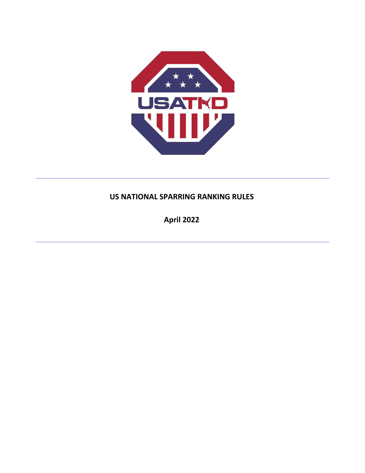

# **US NATIONAL SPARRING RANKING RULES**

**April 2022**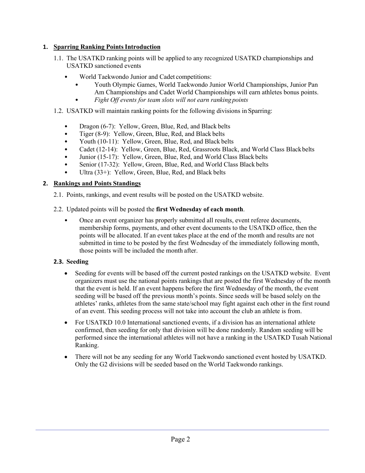## **1. Sparring Ranking PointsIntroduction**

- 1.1. The USATKD ranking points will be applied to any recognized USATKD championships and USATKD sanctioned events
	- World Taekwondo Junior and Cadet competitions:
		- Youth Olympic Games, World Taekwondo Junior World Championships, Junior Pan Am Championships and Cadet World Championships will earn athletes bonus points.
		- *Fight Off events for team slots will not earn ranking points*
- 1.2. USATKD will maintain ranking points for the following divisions in Sparring:
	- Dragon (6-7): Yellow, Green, Blue, Red, and Black belts
	- Tiger (8-9): Yellow, Green, Blue, Red, and Black belts
	- Youth (10-11): Yellow, Green, Blue, Red, and Black belts
	- Cadet (12-14): Yellow, Green, Blue, Red, Grassroots Black, and World Class Black belts
	- Junior (15-17): Yellow, Green, Blue, Red, and World Class Black belts
	- Senior (17-32): Yellow, Green, Blue, Red, and World Class Black belts
	- Ultra (33+): Yellow, Green, Blue, Red, and Black belts

## **2. Rankings and Points Standings**

2.1. Points, rankings, and event results will be posted on the USATKD website.

#### 2.2. Updated points will be posted the **first Wednesday of each month**.

• Once an event organizer has properly submitted all results, event referee documents, membership forms, payments, and other event documents to the USATKD office, then the points will be allocated. If an event takes place at the end of the month and results are not submitted in time to be posted by the first Wednesday of the immediately following month, those points will be included the month after.

## **2.3. Seeding**

- Seeding for events will be based off the current posted rankings on the USATKD website. Event organizers must use the national points rankings that are posted the first Wednesday of the month that the event is held. If an event happens before the first Wednesday of the month, the event seeding will be based off the previous month's points. Since seeds will be based solely on the athletes' ranks, athletes from the same state/school may fight against each other in the first round of an event. This seeding process will not take into account the club an athlete is from.
- For USATKD 10.0 International sanctioned events, if a division has an international athlete confirmed, then seeding for only that division will be done randomly. Random seeding will be performed since the international athletes will not have a ranking in the USATKD Tusah National Ranking.
- There will not be any seeding for any World Taekwondo sanctioned event hosted by USATKD. Only the G2 divisions will be seeded based on the World Taekwondo rankings.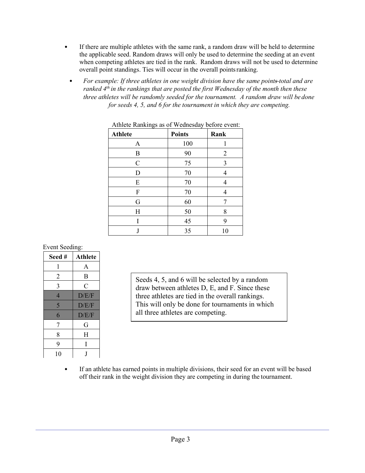- If there are multiple athletes with the same rank, a random draw will be held to determine the applicable seed. Random draws will only be used to determine the seeding at an event when competing athletes are tied in the rank. Random draws will not be used to determine overall point standings. Ties will occur in the overall pointsranking.
- *For example: If three athletes in one weight division have the same points total and are ranked 4th in the rankings that are posted the first Wednesday of the month then these three athletes will be randomly seeded for the tournament. A random draw will be done for seeds 4, 5, and 6 for the tournament in which they are competing.*

| o              |               |                |
|----------------|---------------|----------------|
| <b>Athlete</b> | <b>Points</b> | Rank           |
| A              | 100           | 1              |
| B              | 90            | $\overline{2}$ |
| $\mathcal{C}$  | 75            | 3              |
| D              | 70            | 4              |
| E              | 70            | 4              |
| F              | 70            | 4              |
| G              | 60            | 7              |
| H              | 50            | 8              |
| I              | 45            | 9              |
| J              | 35            | 10             |

#### Athlete Rankings as of Wednesday before event:

Event Seeding:

| Seed#          | <b>Athlete</b> |
|----------------|----------------|
| 1              | A              |
| 2              | B              |
| 3              | $\overline{C}$ |
| $\overline{4}$ | D/E/F          |
| 5              | D/E/F          |
| 6              | D/E/F          |
| 7              | G              |
| 8              | H              |
| 9              | I              |
| 10             | I              |

Seeds 4, 5, and 6 will be selected by a random draw between athletes D, E, and F. Since these three athletes are tied in the overall rankings. This will only be done for tournaments in which all three athletes are competing.

• If an athlete has earned points in multiple divisions, their seed for an event will be based off their rank in the weight division they are competing in during the tournament.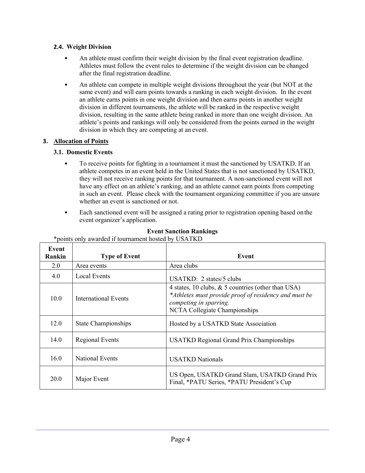## **2.4. Weight Division**

- An athlete must confirm their weight division by the final event registration deadline. Athletes must follow the event rules to determine if the weight division can be changed after the final registration deadline.
- An athlete can compete in multiple weight divisions throughout the year (but NOT at the same event) and will earn points towards a ranking in each weight division. In the event an athlete earns points in one weight division and then earns points in another weight division in different tournaments, the athlete will be ranked in the respective weight division, resulting in the same athlete being ranked in more than one weight division. An athlete's points and rankings will only be considered from the points earned in the weight division in which they are competing at an event.

## **3. Allocation of Points**

## **3.1. Domestic Events**

- To receive points for fighting in a tournament it must the sanctioned by USATKD. If an athlete competes in an event held in the United States that is not sanctioned by USATKD, they will not receive ranking points for that tournament. A non-sanctioned event will not have any effect on an athlete's ranking, and an athlete cannot earn points from competing in such an event. Please check with the tournament organizing committee if you are unsure whether an event is sanctioned or not.
- Each sanctioned event will be assigned a rating prior to registration opening based on the event organizer's application.

| Event<br>Rankin | <b>Type of Event</b>       | Event                                                                                                                                                                     |
|-----------------|----------------------------|---------------------------------------------------------------------------------------------------------------------------------------------------------------------------|
| 2.0             | Area events                | Area clubs                                                                                                                                                                |
| 4.0             | Local Events               | USATKD: $2$ states/5 clubs                                                                                                                                                |
| 10.0            | International Events       | 4 states, 10 clubs, $\&$ 5 countries (other than USA)<br>*Athletes must provide proof of residency and must be<br>competing in sparring.<br>NCTA Collegiate Championships |
| 12.0            | <b>State Championships</b> | Hosted by a USATKD State Association                                                                                                                                      |
| 14.0            | <b>Regional Events</b>     | <b>USATKD Regional Grand Prix Championships</b>                                                                                                                           |
| 16.0            | <b>National Events</b>     | <b>USATKD</b> Nationals                                                                                                                                                   |
| 20.0            | Major Event                | US Open, USATKD Grand Slam, USATKD Grand Prix<br>Final, *PATU Series, *PATU President's Cup                                                                               |

## **Event Sanction Rankings**

\*points only awarded if tournament hosted by USATKD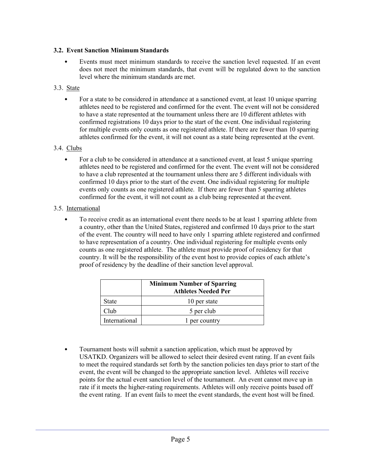## **3.2. Event Sanction Minimum Standards**

- Events must meet minimum standards to receive the sanction level requested. If an event does not meet the minimum standards, that event will be regulated down to the sanction level where the minimum standards are met.
- 3.3. State
	- For a state to be considered in attendance at a sanctioned event, at least 10 unique sparring athletes need to be registered and confirmed for the event. The event will not be considered to have a state represented at the tournament unless there are 10 different athletes with confirmed registrations 10 days prior to the start of the event. One individual registering for multiple events only counts as one registered athlete. If there are fewer than 10 sparring athletes confirmed for the event, it will not count as a state being represented at the event.
- 3.4. Clubs
	- For a club to be considered in attendance at a sanctioned event, at least 5 unique sparring athletes need to be registered and confirmed for the event. The event will not be considered to have a club represented at the tournament unless there are 5 different individuals with confirmed 10 days prior to the start of the event. One individual registering for multiple events only counts as one registered athlete. If there are fewer than 5 sparring athletes confirmed for the event, it will not count as a club being represented at the event.
- 3.5. International
	- To receive credit as an international event there needs to be at least 1 sparring athlete from a country, other than the United States, registered and confirmed 10 days prior to the start of the event. The country will need to have only 1 sparring athlete registered and confirmed to have representation of a country. One individual registering for multiple events only counts as one registered athlete. The athlete must provide proof of residency for that country. It will be the responsibility of the event host to provide copies of each athlete's proof of residency by the deadline of their sanction level approval.

|               | <b>Minimum Number of Sparring</b><br><b>Athletes Needed Per</b> |
|---------------|-----------------------------------------------------------------|
| State         | 10 per state                                                    |
| Club          | 5 per club                                                      |
| International | 1 per country                                                   |

• Tournament hosts will submit a sanction application, which must be approved by USATKD. Organizers will be allowed to select their desired event rating. If an event fails to meet the required standards set forth by the sanction policies ten days prior to start of the event, the event will be changed to the appropriate sanction level. Athletes will receive points for the actual event sanction level of the tournament. An event cannot move up in rate if it meets the higher-rating requirements. Athletes will only receive points based off the event rating. If an event fails to meet the event standards, the event host will be fined.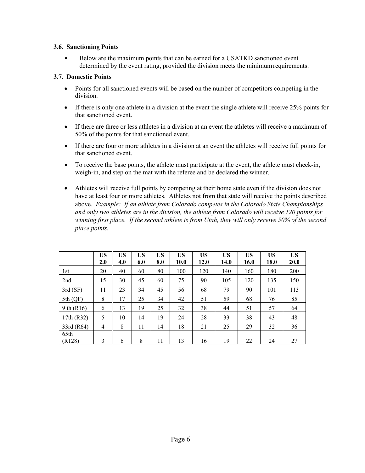#### **3.6. Sanctioning Points**

• Below are the maximum points that can be earned for a USATKD sanctioned event determined by the event rating, provided the division meets the minimumrequirements.

#### **3.7. Domestic Points**

- Points for all sanctioned events will be based on the number of competitors competing in the division.
- If there is only one athlete in a division at the event the single athlete will receive 25% points for that sanctioned event.
- If there are three or less athletes in a division at an event the athletes will receive a maximum of 50% of the points for that sanctioned event.
- If there are four or more athletes in a division at an event the athletes will receive full points for that sanctioned event.
- To receive the base points, the athlete must participate at the event, the athlete must check-in, weigh-in, and step on the mat with the referee and be declared the winner.
- Athletes will receive full points by competing at their home state even if the division does not have at least four or more athletes. Athletes not from that state will receive the points described above. *Example: If an athlete from Colorado competes in the Colorado State Championships and only two athletes are in the division, the athlete from Colorado will receive 120 points for winning first place. If the second athlete is from Utah, they will only receive 50% of the second place points.*

|                | <b>US</b><br>2.0 | <b>US</b><br>4.0 | <b>US</b><br>6.0 | <b>US</b><br>8.0 | <b>US</b><br>10.0 | <b>US</b><br>12.0 | US<br>14.0 | <b>US</b><br>16.0 | <b>US</b><br>18.0 | <b>US</b><br><b>20.0</b> |
|----------------|------------------|------------------|------------------|------------------|-------------------|-------------------|------------|-------------------|-------------------|--------------------------|
| 1st            | 20               | 40               | 60               | 80               | 100               | 120               | 140        | 160               | 180               | 200                      |
| 2nd            | 15               | 30               | 45               | 60               | 75                | 90                | 105        | 120               | 135               | 150                      |
| 3rd(SF)        | 11               | 23               | 34               | 45               | 56                | 68                | 79         | 90                | 101               | 113                      |
| $5th$ (QF)     | 8                | 17               | 25               | 34               | 42                | 51                | 59         | 68                | 76                | 85                       |
| 9 th (R16)     | 6                | 13               | 19               | 25               | 32                | 38                | 44         | 51                | 57                | 64                       |
| 17th (R32)     | 5                | 10               | 14               | 19               | 24                | 28                | 33         | 38                | 43                | 48                       |
| 33rd (R64)     | $\overline{4}$   | 8                | 11               | 14               | 18                | 21                | 25         | 29                | 32                | 36                       |
| 65th<br>(R128) | 3                | 6                | 8                | 11               | 13                | 16                | 19         | 22                | 24                | 27                       |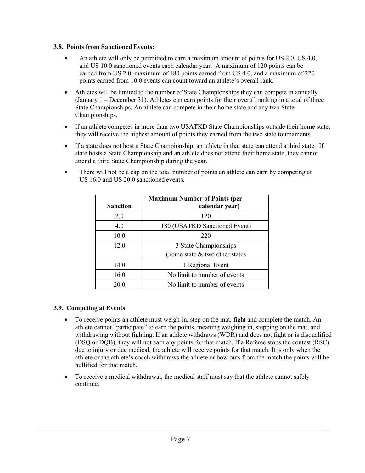#### **3.8. Points from Sanctioned Events:**

- An athlete will only be permitted to earn a maximum amount of points for US 2.0, US 4.0, and US 10.0 sanctioned events each calendar year. A maximum of 120 points can be earned from US 2.0, maximum of 180 points earned from US 4.0, and a maximum of 220 points earned from 10.0 events can count toward an athlete's overall rank.
- Athletes will be limited to the number of State Championships they can compete in annually (January 1 – December 31). Athletes can earn points for their overall ranking in a total of three State Championships. An athlete can compete in their home state and any two State Championships.
- If an athlete competes in more than two USATKD State Championships outside their home state, they will receive the highest amount of points they earned from the two state tournaments.
- If a state does not host a State Championship, an athlete in that state can attend a third state. If state hosts a State Championship and an athlete does not attend their home state, they cannot attend a third State Championship during the year.
- There will not be a cap on the total number of points an athlete can earn by competing at US 16.0 and US 20.0 sanctioned events.

|                 | <b>Maximum Number of Points (per</b> |
|-----------------|--------------------------------------|
| <b>Sanction</b> | calendar year)                       |
| 2.0             | 120                                  |
| 4.0             | 180 (USATKD Sanctioned Event)        |
| 10.0            | 220                                  |
| 12.0            | 3 State Championships                |
|                 | (home state $&$ two other states     |
| 14.0            | 1 Regional Event                     |
| 16.0            | No limit to number of events         |
| 20.0            | No limit to number of events         |

#### **3.9. Competing at Events**

- To receive points an athlete must weigh-in, step on the mat, fight and complete the match. An athlete cannot "participate" to earn the points, meaning weighing in, stepping on the mat, and withdrawing without fighting. If an athlete withdraws (WDR) and does not fight or is disqualified (DSQ or DQB), they will not earn any points for that match. If a Referee stops the contest (RSC) due to injury or due medical, the athlete will receive points for that match. It is only when the athlete or the athlete's coach withdraws the athlete or bow outs from the match the points will be nullified for that match.
- To receive a medical withdrawal, the medical staff must say that the athlete cannot safely continue.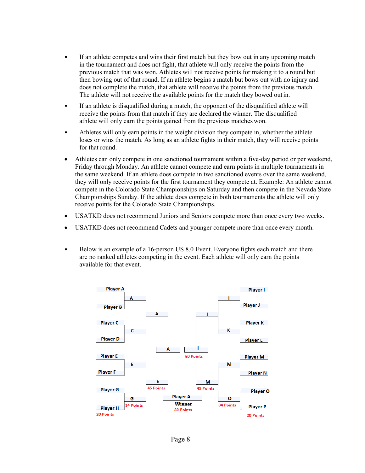- If an athlete competes and wins their first match but they bow out in any upcoming match in the tournament and does not fight, that athlete will only receive the points from the previous match that was won. Athletes will not receive points for making it to a round but then bowing out of that round. If an athlete begins a match but bows out with no injury and does not complete the match, that athlete will receive the points from the previous match. The athlete will not receive the available points for the match they bowed out in.
- If an athlete is disqualified during a match, the opponent of the disqualified athlete will receive the points from that match if they are declared the winner. The disqualified athlete will only earn the points gained from the previous matches won.
- Athletes will only earn points in the weight division they compete in, whether the athlete loses or wins the match. As long as an athlete fights in their match, they will receive points for that round.
- Athletes can only compete in one sanctioned tournament within a five-day period or per weekend, Friday through Monday. An athlete cannot compete and earn points in multiple tournaments in the same weekend. If an athlete does compete in two sanctioned events over the same weekend, they will only receive points for the first tournament they compete at. Example: An athlete cannot compete in the Colorado State Championships on Saturday and then compete in the Nevada State Championships Sunday. If the athlete does compete in both tournaments the athlete will only receive points for the Colorado State Championships.
- USATKD does not recommend Juniors and Seniors compete more than once every two weeks.
- USATKD does not recommend Cadets and younger compete more than once every month.
- Below is an example of a 16-person US 8.0 Event. Everyone fights each match and there are no ranked athletes competing in the event. Each athlete will only earn the points available for that event.

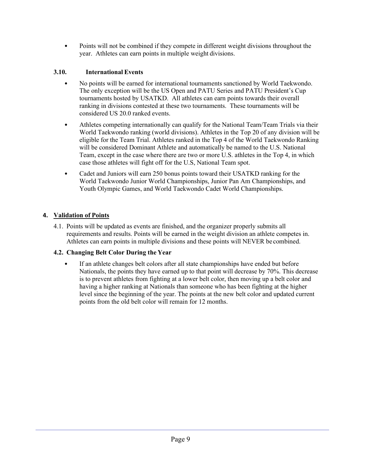• Points will not be combined if they compete in different weight divisions throughout the year. Athletes can earn points in multiple weight divisions.

## **3.10. International Events**

- No points will be earned for international tournaments sanctioned by World Taekwondo. The only exception will be the US Open and PATU Series and PATU President's Cup tournaments hosted by USATKD. All athletes can earn points towards their overall ranking in divisions contested at these two tournaments. These tournaments will be considered US 20.0 ranked events.
- Athletes competing internationally can qualify for the National Team/Team Trials via their World Taekwondo ranking (world divisions). Athletes in the Top 20 of any division will be eligible for the Team Trial. Athletes ranked in the Top 4 of the World Taekwondo Ranking will be considered Dominant Athlete and automatically be named to the U.S. National Team, except in the case where there are two or more U.S. athletes in the Top 4, in which case those athletes will fight off for the U.S, National Team spot.
- Cadet and Juniors will earn 250 bonus points toward their USATKD ranking for the World Taekwondo Junior World Championships, Junior Pan Am Championships, and Youth Olympic Games, and World Taekwondo Cadet World Championships.

## **4. Validation of Points**

4.1. Points will be updated as events are finished, and the organizer properly submits all requirements and results. Points will be earned in the weight division an athlete competes in. Athletes can earn points in multiple divisions and these points will NEVER be combined.

## **4.2. Changing Belt Color During the Year**

• If an athlete changes belt colors after all state championships have ended but before Nationals, the points they have earned up to that point will decrease by 70%. This decrease is to prevent athletes from fighting at a lower belt color, then moving up a belt color and having a higher ranking at Nationals than someone who has been fighting at the higher level since the beginning of the year. The points at the new belt color and updated current points from the old belt color will remain for 12 months.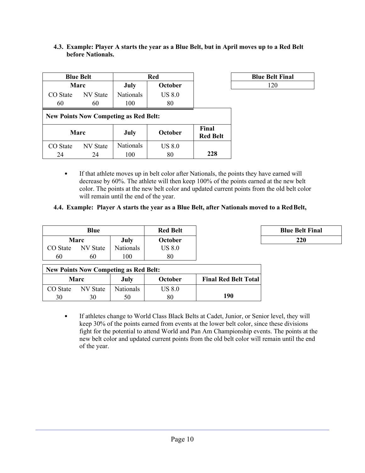|          | <b>Blue Belt</b>                             | Red              |               |                          | <b>Blue Belt Final</b> |
|----------|----------------------------------------------|------------------|---------------|--------------------------|------------------------|
|          | <b>Marc</b>                                  | July             | October       |                          | 120                    |
| CO State | NV State                                     | <b>Nationals</b> | <b>US 8.0</b> |                          |                        |
| 60       | 60                                           | 100              | 80            |                          |                        |
|          | <b>New Points Now Competing as Red Belt:</b> |                  |               |                          |                        |
|          | Marc                                         | July             | October       | Final<br><b>Red Belt</b> |                        |
| CO State | NV State                                     | <b>Nationals</b> | <b>US 8.0</b> |                          |                        |
| 24       | 24                                           | 100              | 80            | 228                      |                        |

#### **4.3. Example: Player A starts the year as a Blue Belt, but in April moves up to a Red Belt before Nationals.**

| <b>Blue Belt Final</b> |  |
|------------------------|--|
| 120                    |  |

• If that athlete moves up in belt color after Nationals, the points they have earned will decrease by 60%. The athlete will then keep 100% of the points earned at the new belt color. The points at the new belt color and updated current points from the old belt color will remain until the end of the year.

## **4.4. Example: Player A starts the year as a Blue Belt, after Nationals moved to a RedBelt,**

|          | Blue     |                  | <b>Red Belt</b> | <b>Blue Belt Final</b> |
|----------|----------|------------------|-----------------|------------------------|
|          | Marc     | July             | October         | 220                    |
| CO State | NV State | <b>Nationals</b> | US 8.0          |                        |
| 60       | 60       | 100              | 80              |                        |

| <b>Blue Belt Final</b> |  |
|------------------------|--|
| <b>220</b>             |  |

| <b>New Points Now Competing as Red Belt:</b> |             |           |         |                             |  |  |
|----------------------------------------------|-------------|-----------|---------|-----------------------------|--|--|
|                                              | <b>Marc</b> | July      | October | <b>Final Red Belt Total</b> |  |  |
| CO State                                     | NV State    | Nationals | US 8.0  |                             |  |  |
| 30                                           |             |           | 80      | 190                         |  |  |

• If athletes change to World Class Black Belts at Cadet, Junior, or Senior level, they will keep 30% of the points earned from events at the lower belt color, since these divisions fight for the potential to attend World and Pan Am Championship events. The points at the new belt color and updated current points from the old belt color will remain until the end of the year.